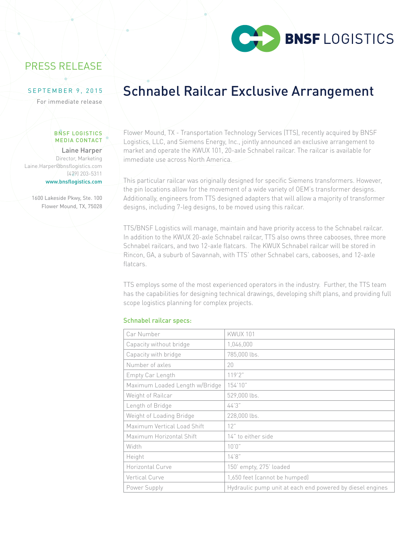

### PRESS RELEASE

### SEPTEMBER 9, 2015

For immediate release

#### BNSF LOGISTICS MEDIA CONTACT

Laine Harper Director, Marketing Laine.Harper@bnsflogistics.com (479) 203-5311 www.bnsflogistics.com

1600 Lakeside Pkwy, Ste. 100 Flower Mound, TX, 75028

# Schnabel Railcar Exclusive Arrangement

Flower Mound, TX - Transportation Technology Services (TTS), recently acquired by BNSF Logistics, LLC, and Siemens Energy, Inc., jointly announced an exclusive arrangement to market and operate the KWUX 101, 20-axle Schnabel railcar. The railcar is available for immediate use across North America.

This particular railcar was originally designed for specific Siemens transformers. However, the pin locations allow for the movement of a wide variety of OEM's transformer designs. Additionally, engineers from TTS designed adapters that will allow a majority of transformer designs, including 7-leg designs, to be moved using this railcar.

TTS/BNSF Logistics will manage, maintain and have priority access to the Schnabel railcar. In addition to the KWUX 20-axle Schnabel railcar, TTS also owns three cabooses, three more Schnabel railcars, and two 12-axle flatcars. The KWUX Schnabel railcar will be stored in Rincon, GA, a suburb of Savannah, with TTS' other Schnabel cars, cabooses, and 12-axle flatcars.

TTS employs some of the most experienced operators in the industry. Further, the TTS team has the capabilities for designing technical drawings, developing shift plans, and providing full scope logistics planning for complex projects.

### Schnabel railcar specs:

| Car Number                     | <b>KWUX 101</b>                                           |
|--------------------------------|-----------------------------------------------------------|
| Capacity without bridge        | 1,046,000                                                 |
| Capacity with bridge           | 785,000 lbs.                                              |
| Number of axles                | 20                                                        |
| Empty Car Length               | 119'2"                                                    |
| Maximum Loaded Length w/Bridge | 154'10"                                                   |
| Weight of Railcar              | 529,000 lbs.                                              |
| Length of Bridge               | 44'3"                                                     |
| Weight of Loading Bridge       | 228,000 lbs.                                              |
| Maximum Vertical Load Shift    | 12"                                                       |
| Maximum Horizontal Shift       | 14" to either side                                        |
| Width                          | 10'0''                                                    |
| Height                         | 14'8''                                                    |
| Horizontal Curve               | 150' empty, 275' loaded                                   |
| Vertical Curve                 | 1,650 feet (cannot be humped)                             |
| Power Supply                   | Hydraulic pump unit at each end powered by diesel engines |